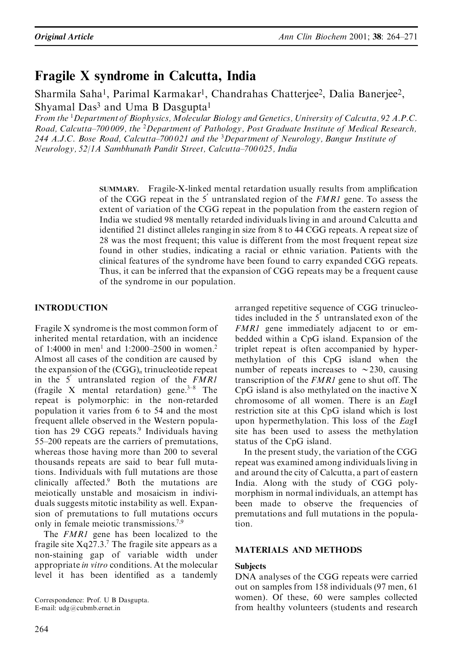# **Fragile X syndrome in Calcutta, India**

Sharmila Saha1, Parimal Karmakar1, Chandrahas Chatterjee2, Dalia Banerjee2, Shyamal Das<sup>3</sup> and Uma B Dasgupta<sup>1</sup>

*From the* <sup>1</sup>*Department of Biophysics, Molecular Biology and Genetics, University of Calcutta, 92 A.P.C. Road, Calcutta±700 009, the* <sup>2</sup>*Department of Pathology, Post Graduate Institute of Medical Research, 244 A.J.C. Bose Road, Calcutta±700 021 and the* <sup>3</sup>*Department of Neurology, Bangur Institute of Neurology, 52/1A Sambhunath Pandit Street, Calcutta±700 025, India*

> SUMMARY. Fragile-X-linked mental retardation usually results from amplification of the CGG repeat in the 5 ¢ untranslated region of the *FMR1* gene. To assess the extent of variation of the CGG repeat in the population from the eastern region of India we studied 98 mentally retarded individuals living in and around Calcutta and identified 21 distinct alleles ranging in size from 8 to 44 CGG repeats. A repeat size of 28 was the most frequent; this value is different from the most frequent repeat size found in other studies, indicating a racial or ethnic variation. Patients with the clinical features of the syndrome have been found to carry expanded CGG repeats. Thus, it can be inferred that the expansion of CGG repeats may be a frequent cause of the syndrome in our population.

# **INTRODUCTION**

Fragile X syndrome is the most common form of inherited mental retardation, with an incidence of 1:4000 in men<sup>1</sup> and 1:2000–2500 in women.<sup>2</sup> Almost all cases of the condition are caused by the expansion of the (CGG)*<sup>n</sup>* trinucleotide repeat in the 5 ¢ untranslated region of the *FMR1* (fragile X mental retardation) gene. $3-8$  The repeat is polymorphic: in the non-retarded population it varies from 6 to 54 and the most frequent allele observed in the Western population has 29 CGG repeats.<sup>9</sup> Individuals having 55±200 repeats are the carriers of premutations, whereas those having more than 200 to several thousands repeats are said to bear full mutations. Individuals with full mutations are those clinically affected.<sup>9</sup> Both the mutations are meiotically unstable and mosaicism in individuals suggests mitotic instability as well. Expansion of premutations to full mutations occurs only in female meiotic transmissions.7,9

The *FMR1* gene has been localized to the fragile site  $Xq27.3<sup>7</sup>$ . The fragile site appears as a non-staining gap of variable width under appropriate *in vitro* conditions. At the molecular level it has been identified as a tandemly

Correspondence: Prof. U B Dasgupta. E-mail: udg@cubmb.ernet.in

arranged repetitive sequence of CGG trinucleotides included in the  $5'$  untranslated exon of the *FMR1* gene immediately adjacent to or embedded within a CpG island. Expansion of the triplet repeat is often accompanied by hypermethylation of this CpG island when the number of repeats increases to  $\sim$ 230, causing transcription of the *FMR1* gene to shut off. The CpG island is also methylated on the inactive X chromosome of all women. There is an *Eag*I restriction site at this CpG island which is lost upon hypermethylation. This loss of the *Eag*I site has been used to assess the methylation status of the CpG island.

In the present study, the variation of the CGG repeat was examined among individualsliving in and around the city of Calcutta, a part of eastern India. Along with the study of CGG polymorphism in normal individuals, an attempt has been made to observe the frequencies of premutations and full mutations in the population.

# **MATERIALS AND METHODS**

# **Subjects**

DNA analyses of the CGG repeats were carried out on samples from 158 individuals (97 men, 61 women). Of these, 60 were samples collected from healthy volunteers (students and research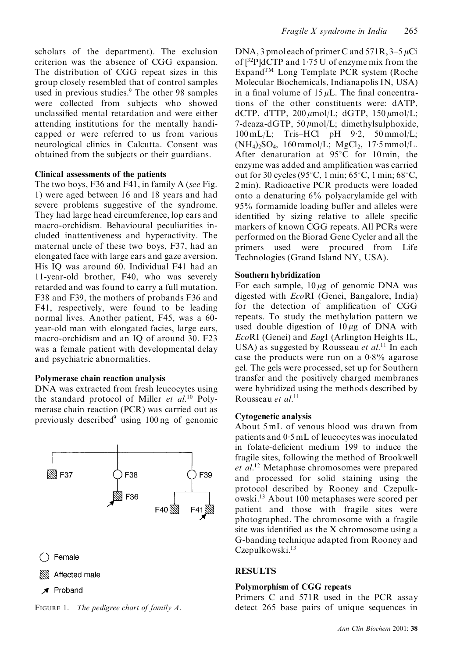scholars of the department). The exclusion criterion was the absence of CGG expansion. The distribution of CGG repeat sizes in this group closely resembled that of control samples used in previous studies.<sup>9</sup> The other 98 samples were collected from subjects who showed unclassified mental retardation and were either attending institutions for the mentally handicapped or were referred to us from various neurological clinics in Calcutta. Consent was obtained from the subjects or their guardians.

#### **Clinical assessments of the patients**

The two boys, F36 and F41, in family A (*see* Fig. 1) were aged between 16 and 18 years and had severe problems suggestive of the syndrome. They had large head circumference, lop ears and macro-orchidism. Behavioural peculiarities included inattentiveness and hyperactivity. The maternal uncle of these two boys, F37, had an elongated face with large ears and gaze aversion. His IQ was around 60. Individual F41 had an 11-year-old brother, F40, who was severely retarded and was found to carry a full mutation. F38 and F39, the mothers of probands F36 and F41, respectively, were found to be leading normal lives. Another patient, F45, was a 60 year-old man with elongated facies, large ears, macro-orchidism and an IQ of around 30. F23 was a female patient with developmental delay and psychiatric abnormalities.

#### **Polymerase chain reaction analysis**

DNA was extracted from fresh leucocytes using the standard protocol of Miller *et al.*<sup>10</sup> Poly merase chain reaction (PCR) was carried out as previously described<sup>9</sup> using  $100 \text{ ng of genomic}$ 





DNA, 3 pmoleach of primer C and  $571R$ ,  $3-5 \mu Ci$ of  $[32P]$ dCTP and 1.75 U of enzyme mix from the ExpandTM Long Template PCR system (Roche Molecular Biochemicals, Indianapolis IN, USA) in a final volume of  $15 \mu L$ . The final concentrations of the other constituents were: dATP, dCTP, dTTP,  $200 \mu \text{mol/L}$ ; dGTP,  $150 \mu \text{mol/L}$ ; 7-deaza-dGTP,  $50 \mu \text{mol/L}$ ; dimethylsulphoxide,  $100 \text{ mL/L}$ ; Tris-HCl pH 9.2, 50 mmol/L;  $(NH_4)$ <sub>2</sub>SO<sub>4</sub>, 160 mmol/L; MgCl<sub>2</sub>, 17<sup>.5</sup> mmol/L. After denaturation at  $95^{\circ}$ C for 10 min, the enzyme was added and amplification was carried out for 30 cycles (95 $\degree$ C, 1 min; 65 $\degree$ C, 1 min; 68 $\degree$ C, 2 min). Radioactive PCR products were loaded onto a denaturing 6% polyacrylamide gel with 95% formamide loading buffer and alleles were identified by sizing relative to allele specific markers of known CGG repeats. All PCRs were performed on the Biorad Gene Cycler and all the primers used were procured from Life Technologies (Grand Island NY, USA).

#### **Southern hybridization**

For each sample,  $10 \mu$ g of genomic DNA was digested with *Eco*RI (Genei, Bangalore, India) for the detection of amplification of CGG repeats. To study the methylation pattern we used double digestion of  $10 \mu$ g of DNA with *Eco*RI (Genei) and *Eag*I (Arlington Heights IL, USA) as suggested by Rousseau *et al.*<sup>11</sup> In each case the products were run on a  $0.8\%$  agarose gel. The gels were processed, set up for Southern transfer and the positively charged membranes were hybridized using the methods described by Rousseau *et al.*<sup>11</sup>

## **Cytogenetic analysis**

About 5 mL of venous blood was drawn from patients and  $0.5$  mL of leucocytes was inoculated in folate-deficient medium 199 to induce the fragile sites, following the method of Brookwell *et al.*<sup>12</sup> Metaphase chromosomes were prepared and processed for solid staining using the protocol described by Rooney and Czepulkowski.<sup>13</sup> About 100 metaphases were scored per patient and those with fragile sites were photographed. The chromosome with a fragile site was identified as the X chromosome using a G-banding technique adapted from Rooney and Czepulkowski.<sup>13</sup>

#### **RESULTS**

#### **Polymorphism of CGG repeats**

Primers C and 571R used in the PCR assay detect 265 base pairs of unique sequences in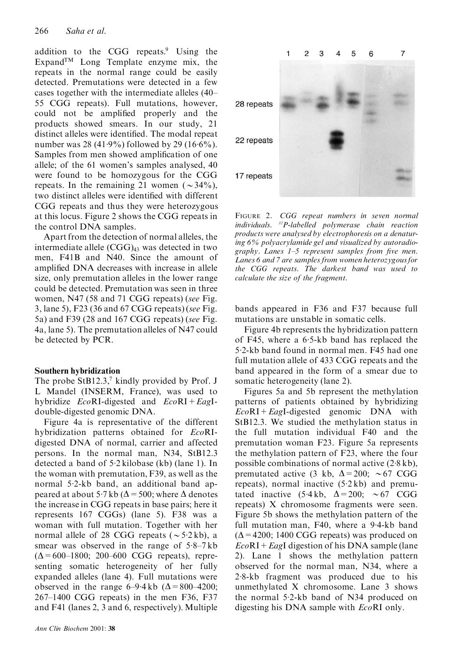addition to the CGG repeats.<sup>9</sup> Using the Expand<sup>TM</sup> Long Template enzyme mix, the repeats in the normal range could be easily detected. Premutations were detected in a few cases together with the intermediate alleles (40– 55 CGG repeats). Full mutations, however, could not be amplified properly and the products showed smears. In our study, 21 distinct alleles were identified. The modal repeat number was 28 (41.9%) followed by 29 (16.6%). Samples from men showed amplification of one allele; of the 61 women's samples analysed, 40 were found to be homozygous for the CGG 17 repeats repeats. In the remaining 21 women  $(\sim 34\%)$ , two distinct alleles were identified with different CGG repeats and thus they were heterozygous at this locus. Figure 2 shows the CGG repeats in the control DNA samples.

Apart from the detection of normal alleles, the intermediate allele  $(CGG)_{43}$  was detected in two men, F41B and N40. Since the amount of amplified DNA decreases with increase in allele size, only premutation alleles in the lower range could be detected. Premutation was seen in three women, N47 (58 and 71 CGG repeats) (*see* Fig. 3, lane 5), F23 (36 and 67 CGG repeats) (*see* Fig. 5a) and F39 (28 and 167 CGG repeats) (*see* Fig. 4a, lane 5). The premutation alleles of N47 could be detected by PCR.

## **Southern hybridization**

The probe  $StB12.3$ ,<sup>7</sup> kindly provided by Prof. J L Mandel (INSERM, France), was used to hybridize *Eco*RI-digested and *Eco*RI+*Eag*Idouble-digested genomic DNA.

Figure 4a is representative of the different hybridization patterns obtained for *Eco*RIdigested DNA of normal, carrier and affected persons. In the normal man, N34, StB12.3 detected a band of 5<sup>-2</sup> kilobase (kb) (lane 1). In the woman with premutation, F39, as well as the normal 5.2-kb band, an additional band appeared at about 5.7 kb ( $\Delta$  = 500; where  $\Delta$  denotes the increase in CGG repeats in base pairs; here it represents 167 CGGs) (lane 5). F38 was a woman with full mutation. Together with her normal allele of 28 CGG repeats ( $\sim$  5 $\cdot$ 2 kb), a smear was observed in the range of  $5.8-7$  kb  $(\Delta = 600-1800; 200-600 \text{ CGG repeats})$ , representing somatic heterogeneity of her fully expanded alleles (lane 4). Full mutations were observed in the range 6-9°4 kb ( $\Delta$ =800-4200;  $267-1400$  CGG repeats) in the men F36, F37 and F41 (lanes 2, 3 and 6, respectively). Multiple



FIGURE 2. *CGG repeat numbers in seven normal individuals. <sup>32</sup>P-labelled polymerase chain reaction products were analysed by electrophoresis on a denaturing 6% polyacrylamide gel and visualized by autoradiography. Lanes 1±5 represent samples from ®ve men. Lanes 6 and 7 are samples from women heterozygousfor the CGG repeats. The darkest band was used to calculate the size of the fragment.*

bands appeared in F36 and F37 because full mutations are unstable in somatic cells.

Figure 4b represents the hybridization pattern of F45, where a  $6·5$ -kb band has replaced the 5´2-kb band found in normal men. F45 had one full mutation allele of 433 CGG repeats and the band appeared in the form of a smear due to somatic heterogeneity (lane 2).

Figures 5a and 5b represent the methylation patterns of patients obtained by hybridizing *Eco*RI+*Eag*I-digested genomic DNA with StB12.3. We studied the methylation status in the full mutation individual F40 and the premutation woman F23. Figure 5a represents the methylation pattern of F23, where the four possible combinations of normal active  $(2.8 \text{ kb})$ , premutated active (3 kb,  $\Delta = 200$ ;  $\sim 67$  CGG repeats), normal inactive  $(5.2 \text{ kb})$  and premutated inactive (5.4 kb,  $\Delta = 200$ ;  $\sim 67$  CGG repeats) X chromosome fragments were seen. Figure 5b shows the methylation pattern of the full mutation man, F40, where a 9.4-kb band  $(\Delta = 4200; 1400 \text{ CGG repeats})$  was produced on *Eco*RI+*Eag*I digestion of his DNA sample (lane 2). Lane 1 shows the methylation pattern observed for the normal man, N34, where a 2´8-kb fragment was produced due to his unmethylated X chromosome. Lane 3 shows the normal  $5.2$ -kb band of N34 produced on digesting his DNA sample with *Eco*RI only.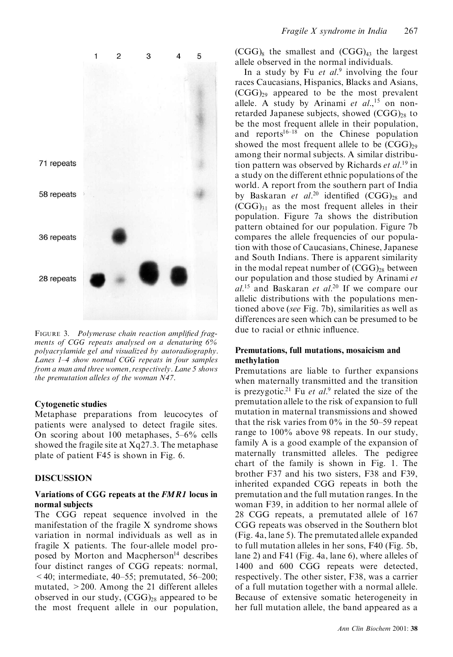

FIGURE 3. Polymerase chain reaction amplified frag*ments of CGG repeats analysed on a denaturing 6% polyacrylamide gel and visualized by autoradiography. Lanes 1±4 show normal CGG repeats in four samples from a man and three women,respectively. Lane 5 shows the premutation alleles of the woman N47.*

#### **Cytogenetic studies**

Metaphase preparations from leucocytes of patients were analysed to detect fragile sites. On scoring about 100 metaphases,  $5-6\%$  cells showed the fragile site at Xq27.3. The metaphase plate of patient F45 is shown in Fig. 6.

#### **DISCUSSION**

# **Variations of CGG repeats at the** *FMR1* **locus in normal subjects**

The CGG repeat sequence involved in the manifestation of the fragile X syndrome shows variation in normal individuals as well as in fragile X patients. The four-allele model proposed by Morton and Macpherson $14$  describes four distinct ranges of CGG repeats: normal,  $<$  40; intermediate, 40–55; premutated, 56–200; mutated,  $>$  200. Among the 21 different alleles observed in our study,  $(CGG)_{28}$  appeared to be the most frequent allele in our population,

 $(CGG)_8$  the smallest and  $(CGG)_{43}$  the largest allele observed in the normal individuals.

In a study by Fu *et al.*<sup>9</sup> involving the four races Caucasians, Hispanics, Blacks and Asians,  $(CGG)_{29}$  appeared to be the most prevalent allele. A study by Arinami  $et \ al.,<sup>15</sup>$  on nonretarded Japanese subjects, showed  $(CGG)_{28}$  to be the most frequent allele in their population, and reports $16-18$  on the Chinese population showed the most frequent allele to be  $(CGG)_{29}$ among their normal subjects. A similar distribution pattern was observed by Richards *et al.*<sup>19</sup> in a study on the different ethnic populations of the world. A report from the southern part of India by Baskaran *et al.*<sup>20</sup> identified  $(CGG)_{28}$  and  $(CGG)_{31}$  as the most frequent alleles in their population. Figure 7a shows the distribution pattern obtained for our population. Figure 7b compares the allele frequencies of our population with those of Caucasians, Chinese, Japanese and South Indians. There is apparent similarity in the modal repeat number of  $(CGG)_{28}$  between our population and those studied by Arinami *et al.*<sup>15</sup> and Baskaran *et al.*<sup>20</sup> If we compare our allelic distributions with the populations mentioned above (*see* Fig. 7b), similarities as well as differences are seen which can be presumed to be due to racial or ethnic influence.

# **Premutations, full mutations, mosaicism and methylation**

Premutations are liable to further expansions when maternally transmitted and the transition is prezygotic.<sup>21</sup> Fu *et al.*<sup>9</sup> related the size of the premutation allele to the risk of expansion to full mutation in maternal transmissions and showed that the risk varies from  $0\%$  in the 50–59 repeat range to 100% above 98 repeats. In our study, family A is a good example of the expansion of maternally transmitted alleles. The pedigree chart of the family is shown in Fig. 1. The brother F37 and his two sisters, F38 and F39, inherited expanded CGG repeats in both the premutation and the full mutation ranges. In the woman F39, in addition to her normal allele of 28 CGG repeats, a premutated allele of 167 CGG repeats was observed in the Southern blot (Fig. 4a, lane 5). The premutated allele expanded to full mutation alleles in her sons, F40 (Fig. 5b, lane 2) and F41 (Fig. 4a, lane 6), where alleles of 1400 and 600 CGG repeats were detected, respectively. The other sister, F38, was a carrier of a full mutation together with a normal allele. Because of extensive somatic heterogeneity in her full mutation allele, the band appeared as a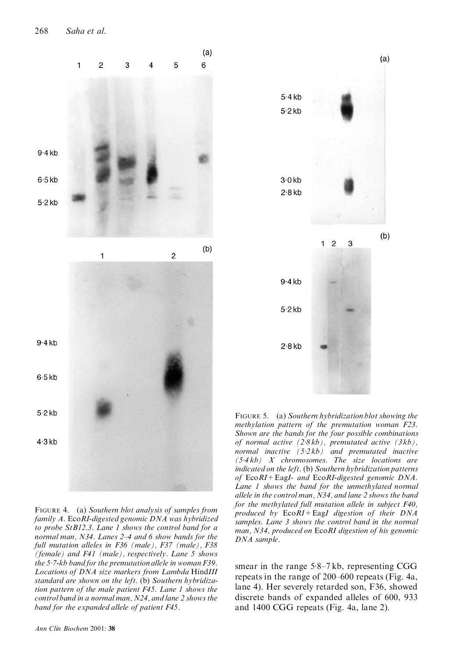

FIGURE 4. (a) *Southern blot analysis of samples from family A.* Eco*RI-digested genomic DNA was hybridized to probe StB12.3. Lane 1 shows the control band for a normal man, N34. Lanes 2±4 and 6 show bands for the full mutation alleles in F36 (male), F37 (male), F38 (female) and F41 (male), respectively. Lane 5 shows the 5´7-kb band for the premutation allele in woman F39. Locations of DNA size markers from Lambda* Hind*III standard are shown on the left.* (b) *Southern hybridization pattern of the male patient F45. Lane 1 shows the control band in a normal man, N24, and lane 2 shows the band for the expanded allele of patient F45.*



FIGURE 5. (a) *Southern hybridization blot showing the methylation pattern of the premutation woman F23. Shown are the bands for the four possible combinations of normal active (2´8 kb), premutated active (3kb), normal inactive (5´2 kb) and premutated inactive (5´4 kb) X chromosomes. The size locations are indicated on the left.* (b) *Southern hybridization patterns of* Eco*RI+*Eag*I- and* Eco*RI-digested genomic DNA. Lane 1 shows the band for the unmethylated normal allele in the control man, N34, and lane 2 shows the band for the methylated full mutation allele in subject F40, produced by* Eco*RI+*Eag*I digestion of their DNA samples. Lane 3 shows the control band in the normal man, N34, produced on* Eco*RI digestion of his genomic DNA sample.*

smear in the range  $5.8-7$  kb, representing CGG repeats in the range of  $200-600$  repeats (Fig. 4a, lane 4). Her severely retarded son, F36, showed discrete bands of expanded alleles of 600, 933 and 1400 CGG repeats (Fig. 4a, lane 2).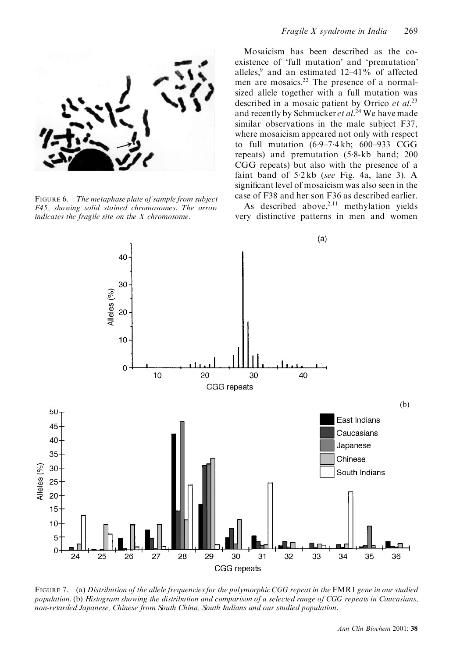

FIGURE 6. *The metaphase plate of sample from subject F45, showing solid stained chromosomes. The arrow indicates the fragile site on the X chromosome.*

Mosaicism has been described as the co existence of `full mutation' and `premutation' alleles, $9$  and an estimated 12-41% of affected men are mosaics.<sup>22</sup> The presence of a normalsized allele together with a full mutation was described in a mosaic patient by Orrico *et al.*<sup>23</sup> and recently by Schmucker *et al.*<sup>24</sup> We have made similar observations in the male subject F37, where mosaicism appeared not only with respect to full mutation  $(6.9-7.4 \text{ kb}; 600-933 \text{ CGG})$ repeats) and premutation (5°8-kb band; 200 CGG repeats) but also with the presence of a faint band of 5´2 kb (*see* Fig. 4a, lane 3). A significant level of mosaicism was also seen in the case of F38 and her son F36 as described earlier.

As described above, $2,11$  methylation yields very distinctive patterns in men and women



FIGURE 7. (a) *Distribution of the allele frequenciesfor the polymorphicCGG repeat in the* FMR1 *gene in our studied* population. (b) Histogram showing the distribution and comparison of a selected range of CGG repeats in Caucasians, *non-retarded Japanese, Chinese from South China, South Indians and our studied population.*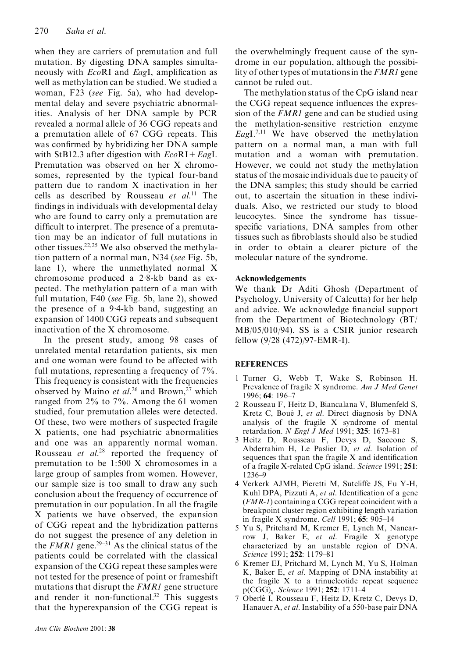when they are carriers of premutation and full mutation. By digesting DNA samples simultaneously with *Eco*RI and *EagI*, amplification as well as methylation can be studied. We studied a woman, F23 (*see* Fig. 5a), who had developmental delay and severe psychiatric abnormalities. Analysis of her DNA sample by PCR revealed a normal allele of 36 CGG repeats and a premutation allele of 67 CGG repeats. This was confirmed by hybridizing her DNA sample with StB12.3 after digestion with *Eco*RI+*Eag*I. Premutation was observed on her X chromosomes, represented by the typical four-band pattern due to random X inactivation in her cells as described by Rousseau *et al.*<sup>11</sup> The findings in individuals with developmental delay who are found to carry only a premutation are difficult to interpret. The presence of a premutation may be an indicator of full mutations in other tissues.22,25 We also observed the methylation pattern of a normal man, N34 (*see* Fig. 5b, lane 1), where the unmethylated normal X chromosome produced a 2´8-kb band as ex pected. The methylation pattern of a man with full mutation, F40 (*see* Fig. 5b, lane 2), showed the presence of a 9<sup>-4</sup>-kb band, suggesting an expansion of 1400 CGG repeats and subsequent inactivation of the X chromosome.

In the present study, among 98 cases of unrelated mental retardation patients, six men and one woman were found to be affected with full mutations, representing a frequency of 7%. This frequency is consistent with the frequencies observed by Maino *et al.*<sup>26</sup> and Brown,<sup>27</sup> which ranged from 2% to 7%. Among the 61 women studied, four premutation alleles were detected. Of these, two were mothers of suspected fragile X patients, one had psychiatric abnormalities and one was an apparently normal woman. Rousseau *et al.*<sup>28</sup> reported the frequency of premutation to be 1:500 X chromosomes in a large group of samples from women. However, our sample size is too small to draw any such conclusion about the frequency of occurrence of premutation in our population. In all the fragile X patients we have observed, the expansion of CGG repeat and the hybridization patterns do not suggest the presence of any deletion in the *FMR1* gene.<sup>29-31</sup> As the clinical status of the patients could be correlated with the classical expansion of the CGG repeat these samples were not tested for the presence of point or frameshift mutations that disrupt the *FMR1* gene structure and render it non-functional. $32$  This suggests that the hyperexpansion of the CGG repeat is

the overwhelmingly frequent cause of the syndrome in our population, although the possibility of other types of mutations in the *FMR1* gene cannot be ruled out.

The methylation status of the CpG island near the CGG repeat sequence influences the expression of the *FMR1* gene and can be studied using the methylation-sensitive restriction enzyme *Eag*I.7,11 We have observed the methylation pattern on a normal man, a man with full mutation and a woman with premutation. However, we could not study the methylation status of the mosaic individuals due to paucity of the DNA samples; this study should be carried out, to ascertain the situation in these individuals. Also, we restricted our study to blood leucocytes. Since the syndrome has tissuespecific variations, DNA samples from other tissues such as fibroblasts should also be studied in order to obtain a clearer picture of the molecular nature of the syndrome.

# **Acknowledgements**

We thank Dr Aditi Ghosh (Department of Psychology, University of Calcutta) for her help and advice. We acknowledge financial support from the Department of Biotechnology (BT/ MB/05/010/94). SS is a CSIR junior research fellow (9/28 (472)/97-EMR-I).

## **REFERENCES**

- 1 Turner G, Webb T, Wake S, Robinson H. Prevalence of fragile X syndrome. Am *J Med Genet* 1996; 64: 196-7
- 2 Rousseau F, Heitz D, Biancalana V, Blumenfeld S, Kretz C, Boué J, et al. Direct diagnosis by DNA analysis of the fragile X syndrome of mental retardation. *N Engl J Med* 1991; 325: 1673-81
- 3 Heitz D, Rousseau F, Devys D, Saccone S, Abderrahim H, Le Paslier D, *et al.* Isolation of sequences that span the fragile  $X$  and identification of a fragile X-related CpG island. *Science* 1991; **251**:  $1236 - 9$
- 4 Verkerk AJMH, Pieretti M, Sutcliffe JS, Fu Y-H, Kuhl DPA, Pizzuti A, *et al.* Identification of a gene (*FMR-1*) containing a CGG repeat coincident with a breakpoint cluster region exhibiting length variation in fragile X syndrome. *Cell* 1991; **65**: 905–14
- 5 Yu S, Pritchard M, Kremer E, Lynch M, Nancar row J, Baker E, *et al.* Fragile X genotype characterized by an unstable region of DNA. *Science* 1991; **252**: 1179±81
- 6 Kremer EJ, Pritchard M, Lynch M, Yu S, Holman K, Baker E, *et al.* Mapping of DNA instability at the fragile X to a trinucleotide repeat sequence p(CGG)*<sup>n</sup>* . *Science* 1991; **252**: 1711±4
- 7 Oberlé I, Rousseau F, Heitz D, Kretz C, Devys D, Hanauer A, *et al.* Instability of a 550-base pair DNA